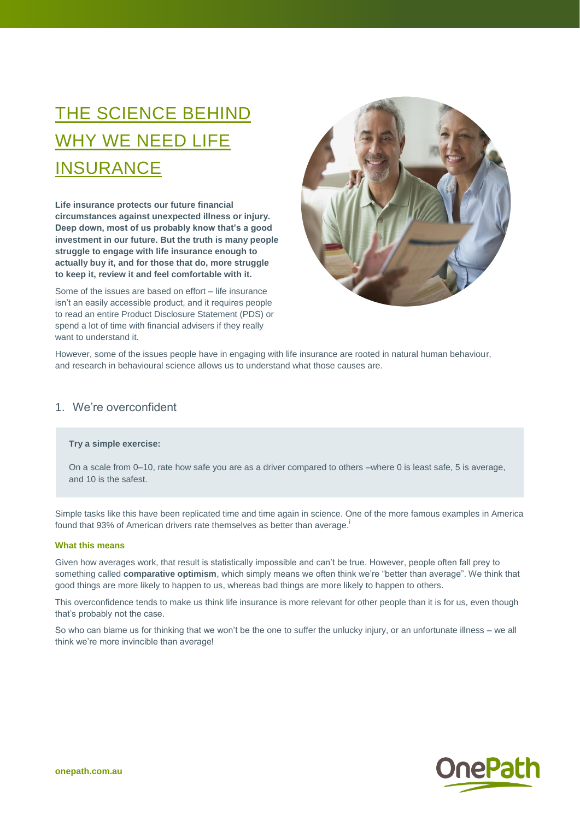# THE SCIENCE BEHIND WHY WE NEED LIFE **INSURANCE**

**Life insurance protects our future financial circumstances against unexpected illness or injury. Deep down, most of us probably know that's a good investment in our future. But the truth is many people struggle to engage with life insurance enough to actually buy it, and for those that do, more struggle to keep it, review it and feel comfortable with it.** 

Some of the issues are based on effort – life insurance isn't an easily accessible product, and it requires people to read an entire Product Disclosure Statement (PDS) or spend a lot of time with financial advisers if they really want to understand it.



However, some of the issues people have in engaging with life insurance are rooted in natural human behaviour, and research in behavioural science allows us to understand what those causes are.

## 1. We're overconfident

## **Try a simple exercise:**

On a scale from 0–10, rate how safe you are as a driver compared to others –where 0 is least safe, 5 is average, and 10 is the safest.

Simple tasks like this have been replicated time and time again in science. One of the more famous examples in America found that 93% of American drivers rate themselves as better than average.

#### **What this means**

Given how averages work, that result is statistically impossible and can't be true. However, people often fall prey to something called **comparative optimism**, which simply means we often think we're "better than average". We think that good things are more likely to happen to us, whereas bad things are more likely to happen to others.

This overconfidence tends to make us think life insurance is more relevant for other people than it is for us, even though that's probably not the case.

So who can blame us for thinking that we won't be the one to suffer the unlucky injury, or an unfortunate illness – we all think we're more invincible than average!

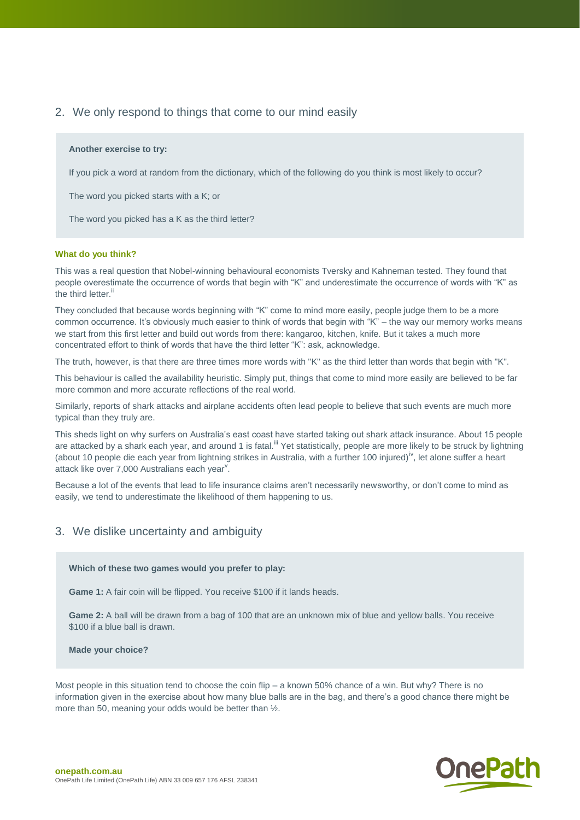# 2. We only respond to things that come to our mind easily

### **Another exercise to try:**

If you pick a word at random from the dictionary, which of the following do you think is most likely to occur?

The word you picked starts with a K; or

The word you picked has a K as the third letter?

## **What do you think?**

This was a real question that Nobel-winning behavioural economists Tversky and Kahneman tested. They found that people overestimate the occurrence of words that begin with "K" and underestimate the occurrence of words with "K" as the third letter.<sup>ii</sup>

They concluded that because words beginning with "K" come to mind more easily, people judge them to be a more common occurrence. It's obviously much easier to think of words that begin with "K" – the way our memory works means we start from this first letter and build out words from there: kangaroo, kitchen, knife. But it takes a much more concentrated effort to think of words that have the third letter "K": ask, acknowledge.

The truth, however, is that there are three times more words with "K" as the third letter than words that begin with "K".

This behaviour is called the availability heuristic. Simply put, things that come to mind more easily are believed to be far more common and more accurate reflections of the real world.

Similarly, reports of shark attacks and airplane accidents often lead people to believe that such events are much more typical than they truly are.

This sheds light on why surfers on Australia's east coast have started taking out shark attack insurance. About 15 people are attacked by a shark each year, and around 1 is fatal.<sup>iii</sup> Yet statistically, people are more likely to be struck by lightning (about 10 people die each year from lightning strikes in Australia, with a further 100 injured)<sup>iv</sup>, let alone suffer a heart attack like over 7,000 Australians each year<sup>v</sup>.

Because a lot of the events that lead to life insurance claims aren't necessarily newsworthy, or don't come to mind as easily, we tend to underestimate the likelihood of them happening to us.

## 3. We dislike uncertainty and ambiguity

## **Which of these two games would you prefer to play:**

**Game 1:** A fair coin will be flipped. You receive \$100 if it lands heads.

**Game 2:** A ball will be drawn from a bag of 100 that are an unknown mix of blue and yellow balls. You receive \$100 if a blue ball is drawn.

**Made your choice?**

Most people in this situation tend to choose the coin flip – a known 50% chance of a win. But why? There is no information given in the exercise about how many blue balls are in the bag, and there's a good chance there might be more than 50, meaning your odds would be better than  $\frac{1}{2}$ .

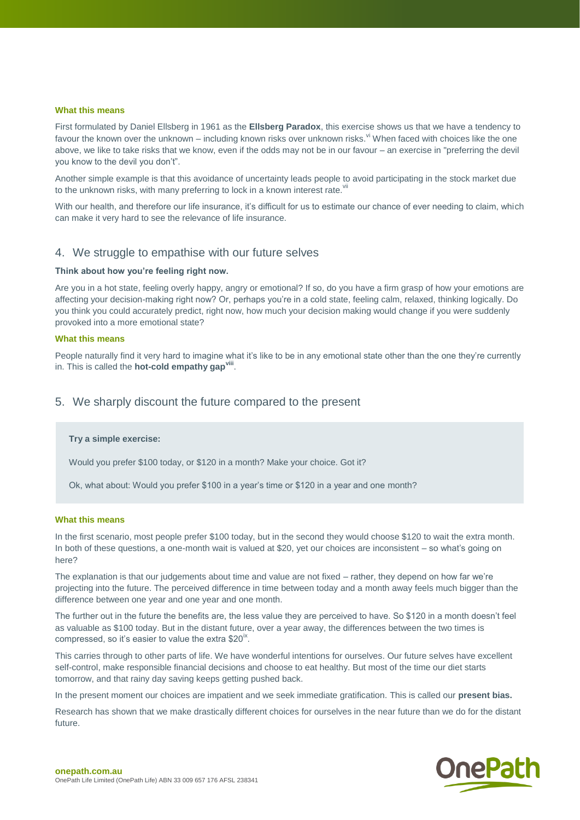#### **What this means**

First formulated by Daniel Ellsberg in 1961 as the **Ellsberg Paradox**, this exercise shows us that we have a tendency to favour the known over the unknown – including known risks over unknown risks. V When faced with choices like the one above, we like to take risks that we know, even if the odds may not be in our favour – an exercise in "preferring the devil you know to the devil you don't".

Another simple example is that this avoidance of uncertainty leads people to avoid participating in the stock market due to the unknown risks, with many preferring to lock in a known interest rate. $v_i$ 

With our health, and therefore our life insurance, it's difficult for us to estimate our chance of ever needing to claim, which can make it very hard to see the relevance of life insurance.

## 4. We struggle to empathise with our future selves

#### **Think about how you're feeling right now.**

Are you in a hot state, feeling overly happy, angry or emotional? If so, do you have a firm grasp of how your emotions are affecting your decision-making right now? Or, perhaps you're in a cold state, feeling calm, relaxed, thinking logically. Do you think you could accurately predict, right now, how much your decision making would change if you were suddenly provoked into a more emotional state?

## **What this means**

People naturally find it very hard to imagine what it's like to be in any emotional state other than the one they're currently in. This is called the **hot-cold empathy gapviii** .

## 5. We sharply discount the future compared to the present

#### **Try a simple exercise:**

Would you prefer \$100 today, or \$120 in a month? Make your choice. Got it?

Ok, what about: Would you prefer \$100 in a year's time or \$120 in a year and one month?

#### **What this means**

In the first scenario, most people prefer \$100 today, but in the second they would choose \$120 to wait the extra month. In both of these questions, a one-month wait is valued at \$20, yet our choices are inconsistent – so what's going on here?

The explanation is that our judgements about time and value are not fixed – rather, they depend on how far we're projecting into the future. The perceived difference in time between today and a month away feels much bigger than the difference between one year and one year and one month.

The further out in the future the benefits are, the less value they are perceived to have. So \$120 in a month doesn't feel as valuable as \$100 today. But in the distant future, over a year away, the differences between the two times is compressed, so it's easier to value the extra  $$20^{ix}$ .

This carries through to other parts of life. We have wonderful intentions for ourselves. Our future selves have excellent self-control, make responsible financial decisions and choose to eat healthy. But most of the time our diet starts tomorrow, and that rainy day saving keeps getting pushed back.

In the present moment our choices are impatient and we seek immediate gratification. This is called our **present bias.**

Research has shown that we make drastically different choices for ourselves in the near future than we do for the distant future.

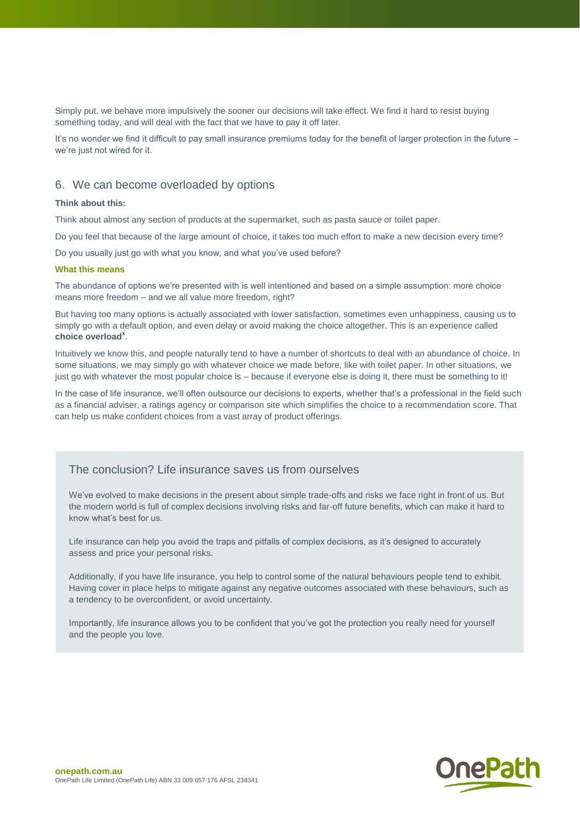Simply put, we behave more impulsively the sooner our decisions will take effect. We find it hard to resist buying something today, and will deal with the fact that we have to pay it off later.

It's no wonder we find it difficult to pay small insurance premiums today for the benefit of larger protection in the future – we're just not wired for it.

## 6. We can become overloaded by options

## **Think about this:**

Think about almost any section of products at the supermarket, such as pasta sauce or toilet paper.

Do you feel that because of the large amount of choice, it takes too much effort to make a new decision every time?

Do you usually just go with what you know, and what you've used before?

## **What this means**

The abundance of options we're presented with is well intentioned and based on a simple assumption: more choice means more freedom – and we all value more freedom, right?

But having too many options is actually associated with lower satisfaction, sometimes even unhappiness, causing us to simply go with a default option, and even delay or avoid making the choice altogether. This is an experience called **choice overload<sup>x</sup>** .

Intuitively we know this, and people naturally tend to have a number of shortcuts to deal with an abundance of choice. In some situations, we may simply go with whatever choice we made before, like with toilet paper. In other situations, we just go with whatever the most popular choice is – because if everyone else is doing it, there must be something to it!

In the case of life insurance, we'll often outsource our decisions to experts, whether that's a professional in the field such as a financial adviser, a ratings agency or comparison site which simplifies the choice to a recommendation score. That can help us make confident choices from a vast array of product offerings.

# The conclusion? Life insurance saves us from ourselves

We've evolved to make decisions in the present about simple trade-offs and risks we face right in front of us. But the modern world is full of complex decisions involving risks and far-off future benefits, which can make it hard to know what's best for us.

Life insurance can help you avoid the traps and pitfalls of complex decisions, as it's designed to accurately assess and price your personal risks.

Additionally, if you have life insurance, you help to control some of the natural behaviours people tend to exhibit. Having cover in place helps to mitigate against any negative outcomes associated with these behaviours, such as a tendency to be overconfident, or avoid uncertainty.

Importantly, life insurance allows you to be confident that you've got the protection you really need for yourself and the people you love.